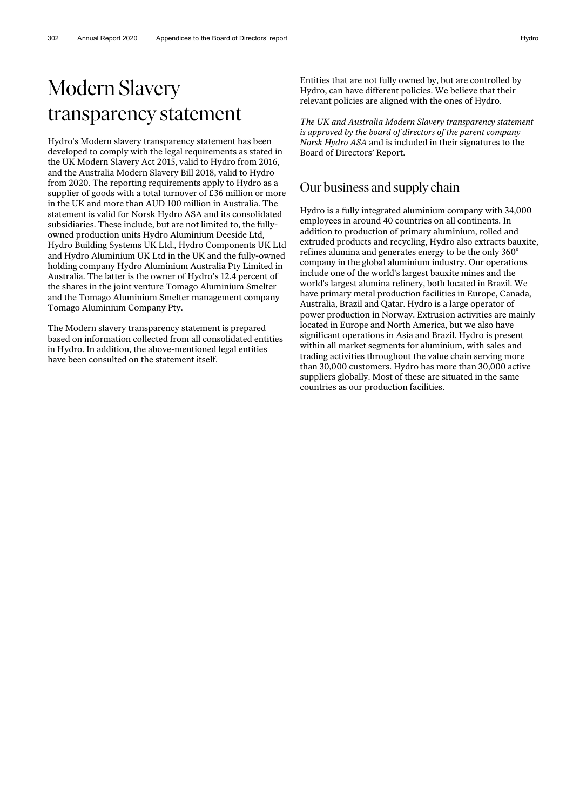# Modern Slavery transparency statement

Hydro's Modern slavery transparency statement has been developed to comply with the legal requirements as stated in the UK Modern Slavery Act 2015, valid to Hydro from 2016, and the Australia Modern Slavery Bill 2018, valid to Hydro from 2020. The reporting requirements apply to Hydro as a supplier of goods with a total turnover of £36 million or more in the UK and more than AUD 100 million in Australia. The statement is valid for Norsk Hydro ASA and its consolidated subsidiaries. These include, but are not limited to, the fullyowned production units Hydro Aluminium Deeside Ltd, Hydro Building Systems UK Ltd., Hydro Components UK Ltd and Hydro Aluminium UK Ltd in the UK and the fully-owned holding company Hydro Aluminium Australia Pty Limited in Australia. The latter is the owner of Hydro's 12.4 percent of the shares in the joint venture Tomago Aluminium Smelter and the Tomago Aluminium Smelter management company Tomago Aluminium Company Pty.

The Modern slavery transparency statement is prepared based on information collected from all consolidated entities in Hydro. In addition, the above-mentioned legal entities have been consulted on the statement itself.

Entities that are not fully owned by, but are controlled by Hydro, can have different policies. We believe that their relevant policies are aligned with the ones of Hydro.

*The UK and Australia Modern Slavery transparency statement is approved by the board of directors of the parent company Norsk Hydro ASA* and is included in their signatures to the Board of Directors' Report.

#### Our business and supply chain

Hydro is a fully integrated aluminium company with 34,000 employees in around 40 countries on all continents. In addition to production of primary aluminium, rolled and extruded products and recycling, Hydro also extracts bauxite, refines alumina and generates energy to be the only 360° company in the global aluminium industry. Our operations include one of the world's largest bauxite mines and the world's largest alumina refinery, both located in Brazil. We have primary metal production facilities in Europe, Canada, Australia, Brazil and Qatar. Hydro is a large operator of power production in Norway. Extrusion activities are mainly located in Europe and North America, but we also have significant operations in Asia and Brazil. Hydro is present within all market segments for aluminium, with sales and trading activities throughout the value chain serving more than 30,000 customers. Hydro has more than 30,000 active suppliers globally. Most of these are situated in the same countries as our production facilities.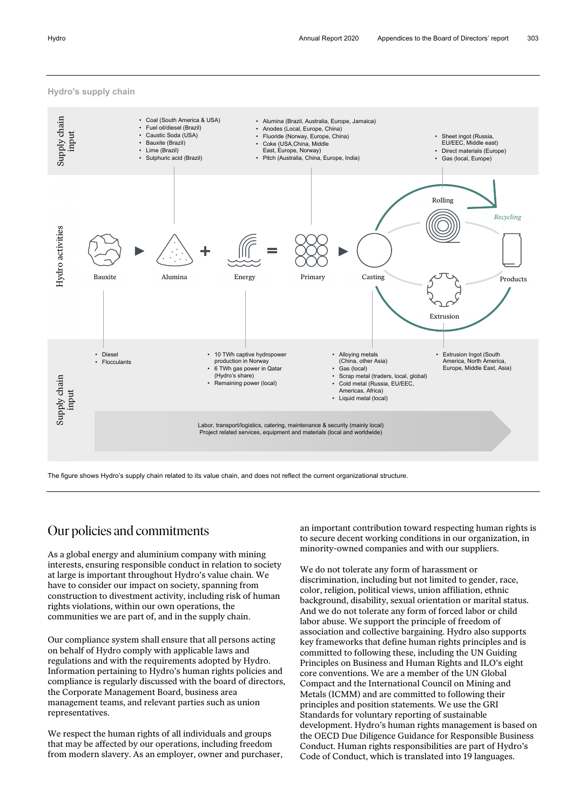#### **Hydro's supply chain**



The figure shows Hydro's supply chain related to its value chain, and does not reflect the current organizational structure.

### Our policies and commitments

As a global energy and aluminium company with mining interests, ensuring responsible conduct in relation to society at large is important throughout Hydro's value chain. We have to consider our impact on society, spanning from construction to divestment activity, including risk of human rights violations, within our own operations, the communities we are part of, and in the supply chain.

Our compliance system shall ensure that all persons acting on behalf of Hydro comply with applicable laws and regulations and with the requirements adopted by Hydro. Information pertaining to Hydro's human rights policies and compliance is regularly discussed with the board of directors, the Corporate Management Board, business area management teams, and relevant parties such as union representatives.

We respect the human rights of all individuals and groups that may be affected by our operations, including freedom from modern slavery. As an employer, owner and purchaser, an important contribution toward respecting human rights is to secure decent working conditions in our organization, in minority-owned companies and with our suppliers.

We do not tolerate any form of harassment or discrimination, including but not limited to gender, race, color, religion, political views, union affiliation, ethnic background, disability, sexual orientation or marital status. And we do not tolerate any form of forced labor or child labor abuse. We support the principle of freedom of association and collective bargaining. Hydro also supports key frameworks that define human rights principles and is committed to following these, including the UN Guiding Principles on Business and Human Rights and ILO's eight core conventions. We are a member of the UN Global Compact and the International Council on Mining and Metals (ICMM) and are committed to following their principles and position statements. We use the GRI Standards for voluntary reporting of sustainable development. Hydro's human rights management is based on the OECD Due Diligence Guidance for Responsible Business Conduct. Human rights responsibilities are part of Hydro's Code of Conduct, which is translated into 19 languages.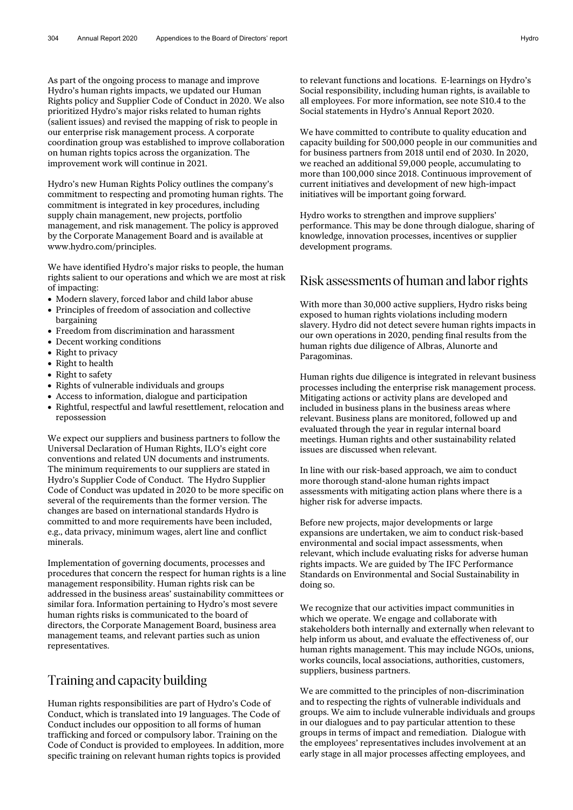As part of the ongoing process to manage and improve Hydro's human rights impacts, we updated our Human Rights policy and Supplier Code of Conduct in 2020. We also prioritized Hydro's major risks related to human rights (salient issues) and revised the mapping of risk to people in our enterprise risk management process. A corporate coordination group was established to improve collaboration on human rights topics across the organization. The improvement work will continue in 2021.

Hydro's new Human Rights Policy outlines the company's commitment to respecting and promoting human rights. The commitment is integrated in key procedures, including supply chain management, new projects, portfolio management, and risk management. The policy is approved by the Corporate Management Board and is available at www.hydro.com/principles.

We have identified Hydro's major risks to people, the human rights salient to our operations and which we are most at risk of impacting:

- Modern slavery, forced labor and child labor abuse
- Principles of freedom of association and collective bargaining
- Freedom from discrimination and harassment
- Decent working conditions
- Right to privacy
- Right to health
- Right to safety
- Rights of vulnerable individuals and groups
- Access to information, dialogue and participation
- Rightful, respectful and lawful resettlement, relocation and repossession

We expect our suppliers and business partners to follow the Universal Declaration of Human Rights, ILO's eight core conventions and related UN documents and instruments. The minimum requirements to our suppliers are stated in Hydro's Supplier Code of Conduct. The Hydro Supplier Code of Conduct was updated in 2020 to be more specific on several of the requirements than the former version. The changes are based on international standards Hydro is committed to and more requirements have been included, e.g., data privacy, minimum wages, alert line and conflict minerals.

Implementation of governing documents, processes and procedures that concern the respect for human rights is a line management responsibility. Human rights risk can be addressed in the business areas' sustainability committees or similar fora. Information pertaining to Hydro's most severe human rights risks is communicated to the board of directors, the Corporate Management Board, business area management teams, and relevant parties such as union representatives.

## Training and capacity building

Human rights responsibilities are part of Hydro's Code of Conduct, which is translated into 19 languages. The Code of Conduct includes our opposition to all forms of human trafficking and forced or compulsory labor. Training on the Code of Conduct is provided to employees. In addition, more specific training on relevant human rights topics is provided

to relevant functions and locations. E-learnings on Hydro's Social responsibility, including human rights, is available to all employees. For more information, see note S10.4 to the Social statements in Hydro's Annual Report 2020.

We have committed to contribute to quality education and capacity building for 500,000 people in our communities and for business partners from 2018 until end of 2030. In 2020, we reached an additional 59,000 people, accumulating to more than 100,000 since 2018. Continuous improvement of current initiatives and development of new high-impact initiatives will be important going forward.

Hydro works to strengthen and improve suppliers' performance. This may be done through dialogue, sharing of knowledge, innovation processes, incentives or supplier development programs.

#### Risk assessments of human and laborrights

With more than 30,000 active suppliers, Hydro risks being exposed to human rights violations including modern slavery. Hydro did not detect severe human rights impacts in our own operations in 2020, pending final results from the human rights due diligence of Albras, Alunorte and Paragominas.

Human rights due diligence is integrated in relevant business processes including the enterprise risk management process. Mitigating actions or activity plans are developed and included in business plans in the business areas where relevant. Business plans are monitored, followed up and evaluated through the year in regular internal board meetings. Human rights and other sustainability related issues are discussed when relevant.

In line with our risk-based approach, we aim to conduct more thorough stand-alone human rights impact assessments with mitigating action plans where there is a higher risk for adverse impacts.

Before new projects, major developments or large expansions are undertaken, we aim to conduct risk-based environmental and social impact assessments, when relevant, which include evaluating risks for adverse human rights impacts. We are guided by The IFC Performance Standards on Environmental and Social Sustainability in doing so.

We recognize that our activities impact communities in which we operate. We engage and collaborate with stakeholders both internally and externally when relevant to help inform us about, and evaluate the effectiveness of, our human rights management. This may include NGOs, unions, works councils, local associations, authorities, customers, suppliers, business partners.

We are committed to the principles of non-discrimination and to respecting the rights of vulnerable individuals and groups. We aim to include vulnerable individuals and groups in our dialogues and to pay particular attention to these groups in terms of impact and remediation. Dialogue with the employees' representatives includes involvement at an early stage in all major processes affecting employees, and